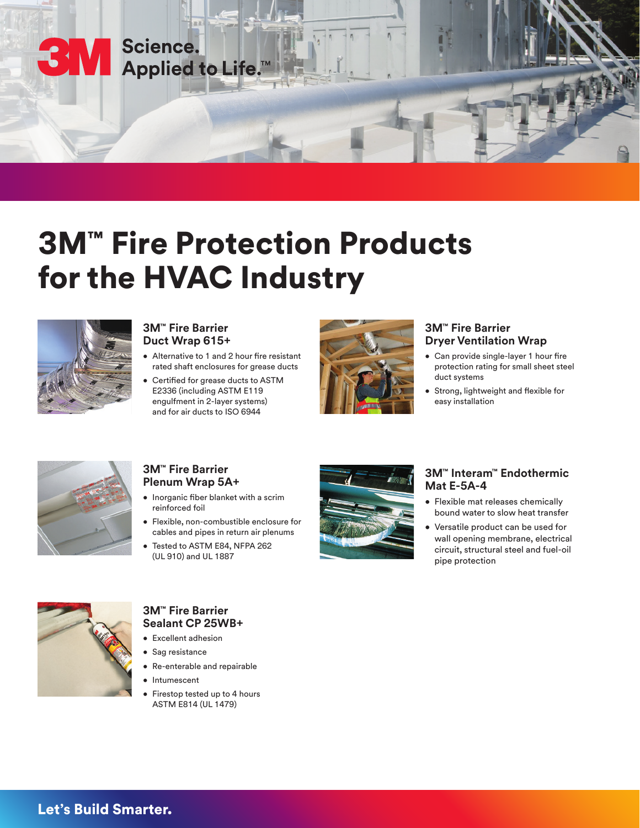

# 3M™ Fire Protection Products for the HVAC Industry



#### **3M™ Fire Barrier Duct Wrap 615+**

- Alternative to 1 and 2 hour fire resistant rated shaft enclosures for grease ducts
- Certified for grease ducts to ASTM E2336 (including ASTM E119 engulfment in 2-layer systems) and for air ducts to ISO 6944



### **3M™ Fire Barrier Dryer Ventilation Wrap**

- Can provide single-layer 1 hour fire protection rating for small sheet steel duct systems
- Strong, lightweight and flexible for easy installation



## **3M™ Fire Barrier Plenum Wrap 5A+**

- Inorganic fiber blanket with a scrim reinforced foil
- Flexible, non-combustible enclosure for cables and pipes in return air plenums
- Tested to ASTM E84, NFPA 262 (UL 910) and UL 1887



#### **3M™ Interam™ Endothermic Mat E-5A-4**

- Flexible mat releases chemically bound water to slow heat transfer
- Versatile product can be used for wall opening membrane, electrical circuit, structural steel and fuel-oil pipe protection



# **3M™ Fire Barrier Sealant CP 25WB+**

- Excellent adhesion
- Sag resistance
- Re-enterable and repairable
- Intumescent
- Firestop tested up to 4 hours ASTM E814 (UL 1479)